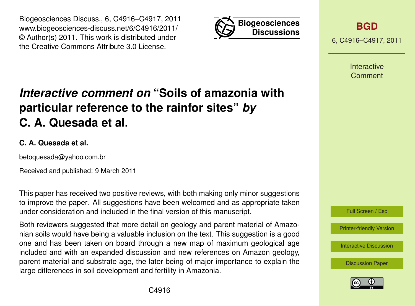Biogeosciences Discuss., 6, C4916–C4917, 2011 www.biogeosciences-discuss.net/6/C4916/2011/ © Author(s) 2011. This work is distributed under the Creative Commons Attribute 3.0 License.



**[BGD](http://www.biogeosciences-discuss.net)**

6, C4916–C4917, 2011

Interactive Comment

## *Interactive comment on* **"Soils of amazonia with particular reference to the rainfor sites"** *by* **C. A. Quesada et al.**

## **C. A. Quesada et al.**

betoquesada@yahoo.com.br

Received and published: 9 March 2011

This paper has received two positive reviews, with both making only minor suggestions to improve the paper. All suggestions have been welcomed and as appropriate taken under consideration and included in the final version of this manuscript.

Both reviewers suggested that more detail on geology and parent material of Amazonian soils would have being a valuable inclusion on the text. This suggestion is a good one and has been taken on board through a new map of maximum geological age included and with an expanded discussion and new references on Amazon geology, parent material and substrate age, the later being of major importance to explain the large differences in soil development and fertility in Amazonia.